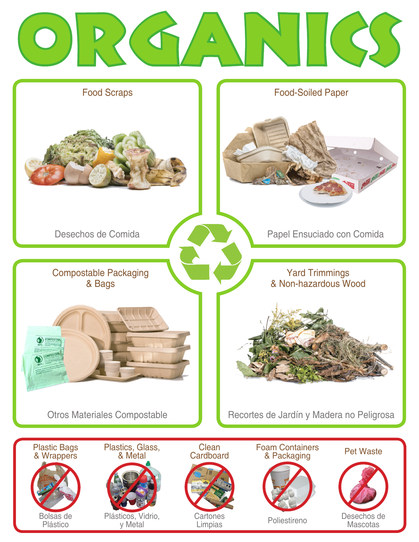



Otros Materiales Compostable **Recortes de Jardín y Madera no Peligrosa**